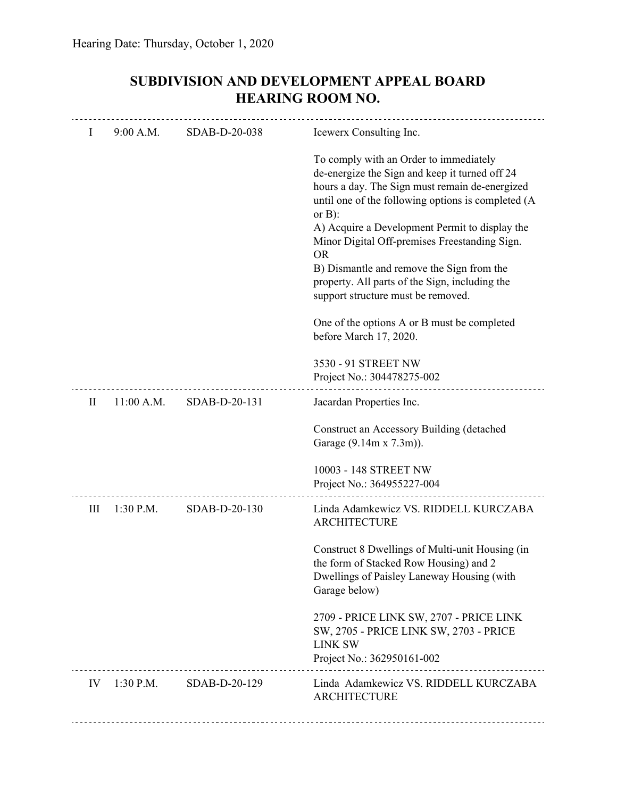| SUBDIVISION AND DEVELOPMENT APPEAL BOARD |
|------------------------------------------|
| <b>HEARING ROOM NO.</b>                  |

| Ι            | 9:00 A.M.    | SDAB-D-20-038              | Icewerx Consulting Inc.                                                                                                                                                                                                                                                                                                                                                                                                                                            |
|--------------|--------------|----------------------------|--------------------------------------------------------------------------------------------------------------------------------------------------------------------------------------------------------------------------------------------------------------------------------------------------------------------------------------------------------------------------------------------------------------------------------------------------------------------|
|              |              |                            | To comply with an Order to immediately<br>de-energize the Sign and keep it turned off 24<br>hours a day. The Sign must remain de-energized<br>until one of the following options is completed (A<br>or $B$ ):<br>A) Acquire a Development Permit to display the<br>Minor Digital Off-premises Freestanding Sign.<br><b>OR</b><br>B) Dismantle and remove the Sign from the<br>property. All parts of the Sign, including the<br>support structure must be removed. |
|              |              |                            | One of the options A or B must be completed<br>before March 17, 2020.                                                                                                                                                                                                                                                                                                                                                                                              |
|              |              |                            | 3530 - 91 STREET NW<br>Project No.: 304478275-002                                                                                                                                                                                                                                                                                                                                                                                                                  |
| $\mathbf{I}$ | $11:00$ A.M. | SDAB-D-20-131              | Jacardan Properties Inc.                                                                                                                                                                                                                                                                                                                                                                                                                                           |
|              |              |                            | Construct an Accessory Building (detached<br>Garage (9.14m x 7.3m)).                                                                                                                                                                                                                                                                                                                                                                                               |
|              |              |                            | 10003 - 148 STREET NW<br>Project No.: 364955227-004                                                                                                                                                                                                                                                                                                                                                                                                                |
| Ш            | $1:30$ P.M.  | SDAB-D-20-130              | Linda Adamkewicz VS. RIDDELL KURCZABA<br><b>ARCHITECTURE</b>                                                                                                                                                                                                                                                                                                                                                                                                       |
|              |              |                            | Construct 8 Dwellings of Multi-unit Housing (in<br>the form of Stacked Row Housing) and 2<br>Dwellings of Paisley Laneway Housing (with<br>Garage below)                                                                                                                                                                                                                                                                                                           |
|              |              |                            | 2709 - PRICE LINK SW, 2707 - PRICE LINK<br>SW, 2705 - PRICE LINK SW, 2703 - PRICE<br><b>LINK SW</b><br>Project No.: 362950161-002                                                                                                                                                                                                                                                                                                                                  |
|              |              | IV 1:30 P.M. SDAB-D-20-129 | Linda Adamkewicz VS. RIDDELL KURCZABA<br><b>ARCHITECTURE</b>                                                                                                                                                                                                                                                                                                                                                                                                       |